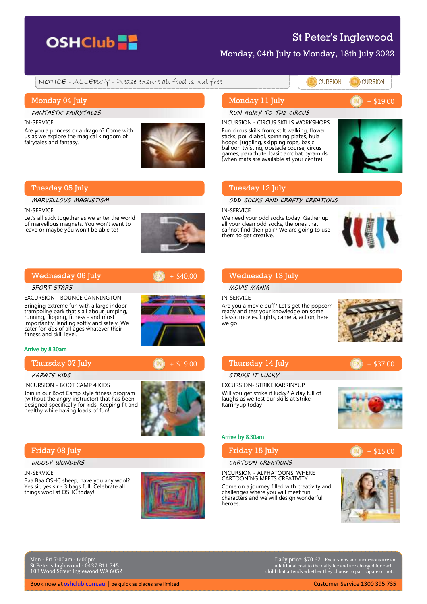

# St Peter's Inglewood

**CURSION** 

Monday, 04th July to Monday, 18th July 2022

NOTICE - ALLERGY - Please ensure all food is nut free

# Monday 04 July

FANTASTIC FAIRYTALES

IN-SERVICE

Are you a princess or a dragon? Come with us as we explore the magical kingdom of fairytales and fantasy.



# Tuesday 05 July

MARVELLOUS MAGNETISM

#### IN-SERVICE

Let's all stick together as we enter the world of marvellous magnets. You won't want to leave or maybe you won't be able to!



+ \$40.00

# Wednesday 06 July

#### SPORT STARS

EXCURSION - BOUNCE CANNINGTON Bringing extreme fun with a large indoor trampoline park that's all about jumping, running, flipping, fitness - and most importantly, landing softly and safely. We cater for kids of all ages whatever their fitness and skill level.

#### Arrive by 8.30am

Thursday 07 July

#### KARATE KIDS

INCURSION - BOOT CAMP 4 KIDS

Join in our Boot Camp style fitness program (without the angry instructor) that has been designed specifically for kids. Keeping fit and healthy while having loads of fun!

# Friday 08 July

WOOLY WONDERS

#### IN-SERVICE

Baa Baa OSHC sheep, have you any wool? Yes sir, yes sir - 3 bags full! Celebrate all things wool at OSHC today!



# Monday 11 July

#### RUN AWAY TO THE CIRCUS

INCURSION - CIRCUS SKILLS WORKSHOPS Fun circus skills from; stilt walking, flower sticks, poi, diabol, spinning plates, hula hoops, juggling, skipping rope, basic balloon twisting, obstacle course, circus games, parachute, basic acrobat pyramids (when mats are available at your centre)



**CURSION** 

+ \$19.00

# Tuesday 12 July

ODD SOCKS AND CRAFTY CREATIONS

#### IN-SERVICE

We need your odd socks today! Gather up all your clean odd socks, the ones that cannot find their pair? We are going to use them to get creative.



# Wednesday 13 July

MOVIE MANIA

#### IN-SERVICE

Are you a movie buff? Let's get the popcorn ready and test your knowledge on some classic movies. Lights, camera, action, here we go!



### Thursday 14 July

# STRIKE IT LUCKY

EXCURSION- STRIKE KARRINYUP Will you get strike it lucky? A day full of laughs as we test our skills at Strike Karrinyup today



+ \$15.00

 $+ $37.00$ 

#### Arrive by 8.30am

Friday 15 July

#### CARTOON CREATIONS

INCURSION - ALPHATOONS: WHERE CARTOONING MEETS CREATIVITY Come on a journey filled with creativity and challenges where you will meet fun characters and we will design wonderful heroes.



Mon - Fri 7:00am - 6:00pm St Peter's Inglewood - 0437 811 745 103 Wood Street Inglewood WA 6052

Book now at [oshclub.com.au](https://www.oshclub.com.au) | be quick as places are limited Customer Service 1300 395 735

Daily price: \$70.62 | Excursions and incursions are an additional cost to the daily fee and are charged for each child that attends whether they choose to participate or not.



# + \$19.00